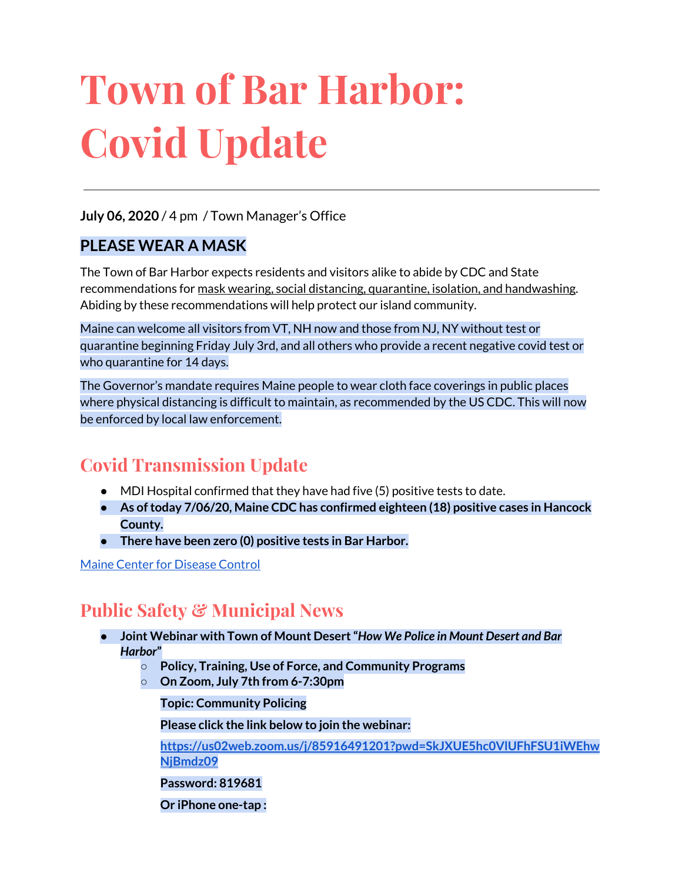# **Town of Bar Harbor: Covid Update**

**July 06, 2020** / 4 pm / Town Manager's Office

#### **PLEASE WEAR A MASK**

The Town of Bar Harbor expects residents and visitors alike to abide by CDC and State recommendations for mask wearing, social distancing, quarantine, isolation, and handwashing. Abiding by these recommendations will help protect our island community.

Maine can welcome all visitors from VT, NH now and those from NJ, NY without test or quarantine beginning Friday July 3rd, and all others who provide a recent negative covid test or who quarantine for 14 days.

The Governor's mandate requires Maine people to wear cloth face coverings in public places where physical distancing is difficult to maintain, as recommended by the US CDC. This will now be enforced by local law enforcement.

# **Covid Transmission Update**

- $\bullet$  MDI Hospital confirmed that they have had five (5) positive tests to date.
- **● As oftoday 7/06/20, Maine CDC has confirmed eighteen (18) positive cases in Hancock County.**
- **● There have been zero (0) positive tests in Bar Harbor.**

Maine Center for [Disease](https://www.maine.gov/dhhs/mecdc/infectious-disease/epi/airborne/coronavirus.shtml) Control

# **Public Safety & Municipal News**

- **● Joint Webinar with Town of Mount Desert"***How We Police in Mount Desert and Bar Harbor***"**
	- **○ Policy, Training, Use of Force, and Community Programs**
	- **○ On Zoom, July 7th from 6-7:30pm**

**Topic: Community Policing**

**Please click the link below to join the webinar:**

**[https://us02web.zoom.us/j/85916491201?pwd=SkJXUE5hc0VlUFhFSU1iWEhw](https://us02web.zoom.us/j/85916491201?pwd=SkJXUE5hc0VlUFhFSU1iWEhwNjBmdz09) [NjBmdz09](https://us02web.zoom.us/j/85916491201?pwd=SkJXUE5hc0VlUFhFSU1iWEhwNjBmdz09)**

**Password: 819681**

**Or iPhone one-tap :**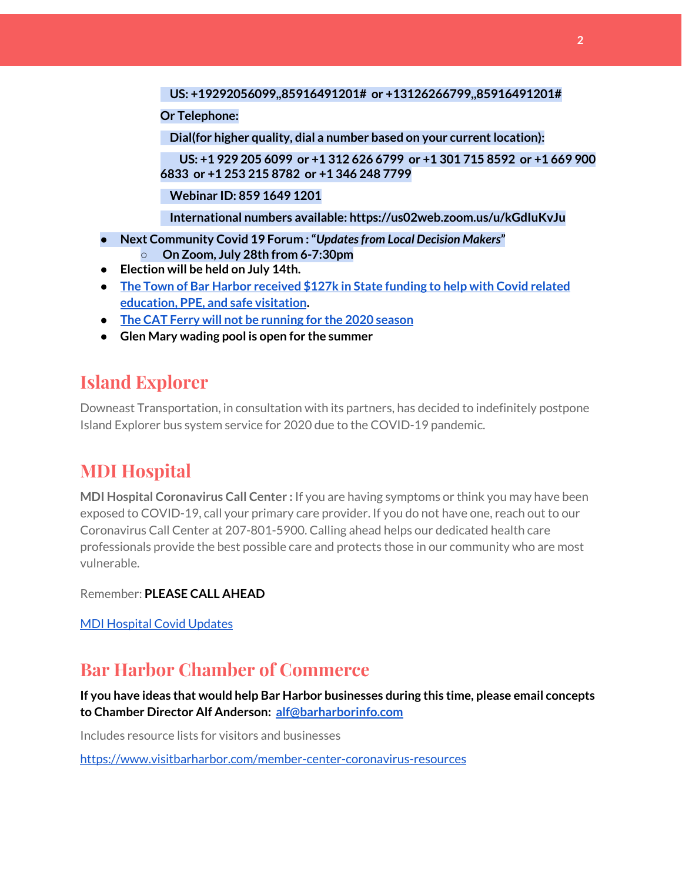#### **US: +19292056099,,85916491201# or +13126266799,,85916491201#**

#### **Or Telephone:**

**Dial(for higher quality, dial a number based on your currentlocation):**

**US: +1 929 205 6099 or +1 312 626 6799 or +1 301 715 8592 or +1 669 900 6833 or +1 253 215 8782 or +1 346 248 7799**

**Webinar ID: 859 1649 1201**

**International numbers available: https://us02web.zoom.us/u/kGdIuKvJu**

- **● Next Community Covid 19 Forum :"***Updatesfrom Local Decision Makers***" ○ On Zoom, July 28th from 6-7:30pm**
- **● Election will be held on July 14th.**
- **● The Town of Bar Harbor [received](https://www.maine.gov/governor/mills/news/mills-administration-approves-covid-19-prevention-and-protection-grant-awards-municipalities) \$127k in State funding to help with Covid related [education,](https://www.maine.gov/governor/mills/news/mills-administration-approves-covid-19-prevention-and-protection-grant-awards-municipalities) PPE, and safe visitation.**
- **● The CAT Ferry will not be [running](https://www.ferries.ca/) for the 2020 season**
- **● Glen Mary wading pool is open for the summer**

### **Island Explorer**

Downeast Transportation, in consultation with its partners, has decided to indefinitely postpone Island Explorer bus system service for 2020 due to the COVID-19 pandemic.

## **MDI Hospital**

**MDI Hospital Coronavirus Call Center :** If you are having symptoms or think you may have been exposed to COVID-19, call your primary care provider. If you do not have one, reach out to our Coronavirus Call Center at 207-801-5900. Calling ahead helps our dedicated health care professionals provide the best possible care and protects those in our community who are most vulnerable.

Remember: **PLEASE CALL AHEAD**

MDI [Hospital](https://www.mdihospital.org/covid-19/?fbclid=IwAR2Q31t4a6H1pxDfUeqSzFcmp5UbRlSwe93i58zEkHstfexp5EgoHB5cxGU) Covid Updates

## **Bar Harbor Chamber of Commerce**

**If you have ideas that would help Bar Harbor businesses during this time, please email concepts to Chamber Director Alf Anderson: [alf@barharborinfo.com](mailto:alf@barharborinfo.com)**

Includes resource lists for visitors and businesses

<https://www.visitbarharbor.com/member-center-coronavirus-resources>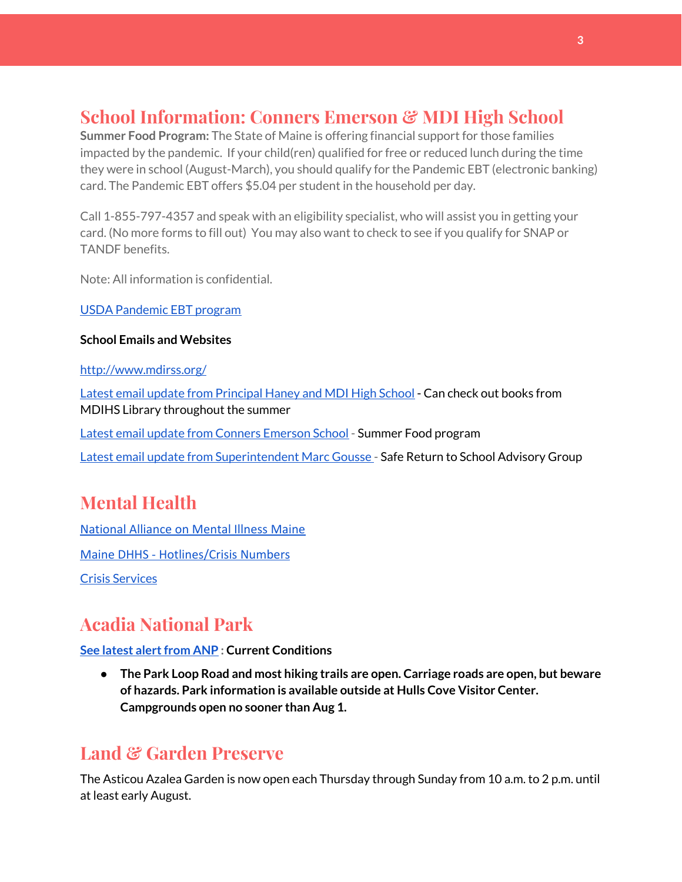# **School Information: Conners Emerson & MDI High School**

**Summer Food Program:** The State of Maine is offering financial support for those families impacted by the pandemic. If your child(ren) qualified for free or reduced lunch during the time they were in school (August-March), you should qualify for the Pandemic EBT (electronic banking) card. The Pandemic EBT offers \$5.04 per student in the household per day.

Call 1-855-797-4357 and speak with an eligibility specialist, who will assist you in getting your card. (No more forms to fill out) You may also want to check to see if you qualify for SNAP or TANDF benefits.

Note: All information is confidential.

USDA [Pandemic](http://track.spe.schoolmessenger.com/f/a/j6GQx4nFl3Rld4Q68tYCuA~~/AAAAAQA~/RgRgu5_JP0SlaHR0cHM6Ly9tYWlsLmdvb2dsZS5jb20vbWFpbC91LzAvP3RhYj1jbSNzZWFyY2gvZnJvbSUzQStiZWVzbGV5L1doY3RLSlZyQ0NUS1JmUldCTFdkUVpGZ2pUVlhNdkRwUVpIa2NoRkJCc3NGcHJxZEtnWFF3S05Tamt3R1RxTFpaS21wTkRHP3Byb2plY3Rvcj0xJm1lc3NhZ2VQYXJ0SWQ9MC4xVwdzY2hvb2xtQgoARkls2l72Ls-jUhhiYXJoYXJib3JqZXdlbEBnbWFpbC5jb21YBAAAAAE~) EBT program

#### **School Emails and Websites**

<http://www.mdirss.org/>

Latest email update from [Principal](https://docs.google.com/document/d/1OKDsYNtOgV0FI9xAcXwQvenOKLV0S2vBg1o5jtu5CrE/edit?usp=sharing) Haney and MDI High School - Can check out books from MDIHS Library throughout the summer

Latest email update from Conners [Emerson](https://docs.google.com/document/d/1v3pgkG6Q-9S3gisuUIj4etPVDwgBKl4P00JBkvZr-kk/edit?usp=sharing) School - Summer Food program

Latest email update from [Superintendent](https://docs.google.com/document/d/1fzeCbc8gpTSKmUaDoQH1Avx5PVl-h0reFphXrT1eUNA/edit?usp=sharing) Marc Gousse - Safe Return to School Advisory Group

# **Mental Health**

[National Alliance on Mental Illness Maine](https://www.namimaine.org/) [Maine DHHS - Hotlines/Crisis Numbers](https://www.maine.gov/dhhs/hotlines.shtml) Crisis [Services](https://www.sweetser.org/programs-services/services-for-adults/crisis-services/)

# **Acadia National Park**

**See latest [alertfrom](https://www.nps.gov/acad/planyourvisit/conditions.htm) ANP : Current Conditions**

**● The Park Loop Road and most hiking trails are open. Carriage roads are open, but beware of hazards. Park information is available outside at Hulls Cove Visitor Center. Campgrounds open no sooner than Aug 1.**

#### **Land & Garden Preserve**

The Asticou Azalea Garden is now open each Thursday through Sunday from 10 a.m. to 2 p.m. until at least early August.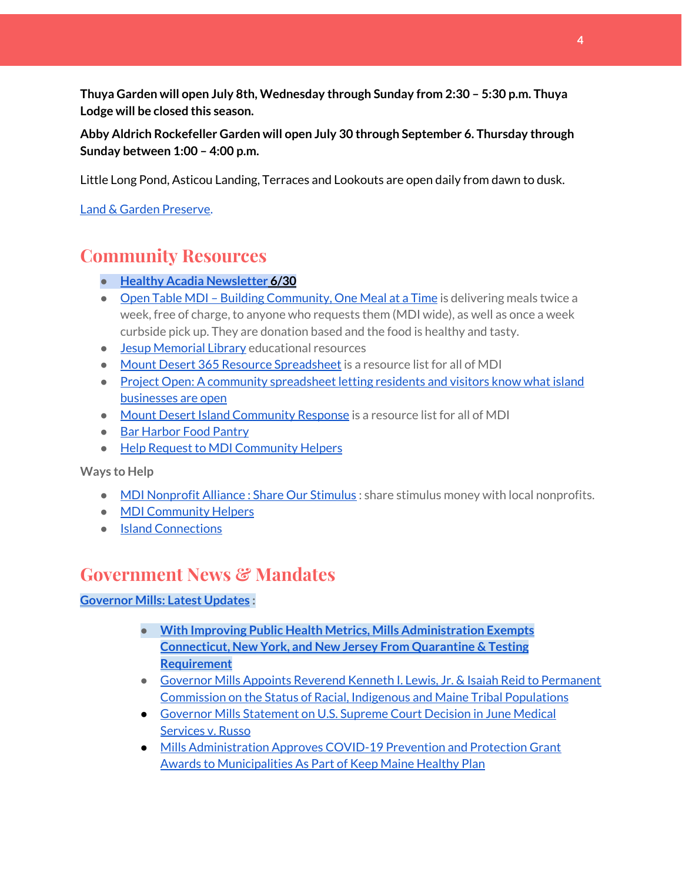**Thuya Garden will open July 8th, Wednesday through Sunday from 2:30 – 5:30 p.m. Thuya Lodge will be closed this season.**

**Abby Aldrich Rockefeller Garden will open July 30 through September 6. Thursday through Sunday between 1:00 – 4:00 p.m.**

Little Long Pond, Asticou Landing, Terraces and Lookouts are open daily from dawn to dusk.

Land & Garden [Preserve.](https://www.gardenpreserve.org/)

#### **Community Resources**

- **● Healthy Acadia [Newsletter](https://mailchi.mp/healthyacadia.org/june30_2020) [6](https://mailchi.mp/healthyacadia.org/june30_2020)/30**
- Open Table MDI Building [Community,](https://www.opentablemdi.org/) One Meal at a Time is delivering meals twice a week, free of charge, to anyone who requests them (MDI wide), as well as once a week curbside pick up. They are donation based and the food is healthy and tasty.
- Jesup [Memorial](https://jesuplibrary.org/) Library educational resources
- Mount Desert 365 Resource [Spreadsheet](https://docs.google.com/spreadsheets/d/1okAx6HSsgXZY9CGH07Dzi6rqe7a6m4dLCPKot2Li7Ek/edit?usp=sharing) is a resource list for all of MDI
- Project Open: A community [spreadsheet](https://docs.google.com/spreadsheets/d/1dBicBiBXGzzWEFd9oqL7EBDbFWjDCPl6SSMea_Kt4pc/htmlview#) letting residents and visitors know what island [businesses](https://docs.google.com/spreadsheets/d/1dBicBiBXGzzWEFd9oqL7EBDbFWjDCPl6SSMea_Kt4pc/htmlview#) are open
- Mount Desert Island [Community](https://www.mdicr.org/) Response is a resource list for all of MDI
- Bar [Harbor](https://www.barharborfoodpantry.org/) Food Pantry
- Help Request to MDI [Community](https://docs.google.com/forms/d/e/1FAIpQLSeZfu0tCcthHc9oL7tPomVRdniYiE7nbT_kkK9iCSRgqDhOvQ/viewform) Helpers

**Ways to Help**

- MDI [Nonprofit](https://sites.google.com/mdina.org/public/sos-mdi?authuser=0) Alliance : Share Our Stimulus : share stimulus money with local nonprofits.
- MDI [Community](https://docs.google.com/forms/d/e/1FAIpQLSe_CJUFdVvwJkmymWRqUeK8bx3m7n4uSOuUPYHqXSAyH2DBoQ/viewform?fbclid=IwAR25hjnWGhnMP0lOWMcBPRBumhtQCJGZO4hlk-T-VjNGZljL1kVX5pWrL6U) Helpers
- Island [Connections](http://islconnections.org/contact-us/)

#### **Government News & Mandates**

#### **[Governor](https://www.maine.gov/governor/mills/) Mills: Latest Updates :**

- **● With Improving Public Health Metrics, Mills [Administration](https://www.maine.gov/governor/mills/news/improving-public-health-metrics-mills-administration-exempts-connecticut-new-york-and-new) Exempts [Connecticut,](https://www.maine.gov/governor/mills/news/improving-public-health-metrics-mills-administration-exempts-connecticut-new-york-and-new) New York, and New Jersey From Quarantine & Testing [Requirement](https://www.maine.gov/governor/mills/news/improving-public-health-metrics-mills-administration-exempts-connecticut-new-york-and-new)**
- Governor Mills Appoints Reverend Kenneth I. Lewis, Jr. & Isaiah Reid to [Permanent](https://www.maine.gov/governor/mills/news/governor-mills-appoints-reverend-kenneth-i-lewis-jr-isaiah-reid-permanent-commission-status) [Commission](https://www.maine.gov/governor/mills/news/governor-mills-appoints-reverend-kenneth-i-lewis-jr-isaiah-reid-permanent-commission-status) on the Status of Racial, Indigenous and Maine Tribal Populations
- Governor Mills [Statement](https://www.maine.gov/governor/mills/news/governor-mills-statement-us-supreme-court-decision-june-medical-services-v-russo-2020-06-29) on U.S. Supreme Court Decision in June Medical [Services](https://www.maine.gov/governor/mills/news/governor-mills-statement-us-supreme-court-decision-june-medical-services-v-russo-2020-06-29) v. Russo
- Mills [Administration](https://www.maine.gov/governor/mills/news/mills-administration-approves-covid-19-prevention-and-protection-grant-awards-municipalities) Approves COVID-19 Prevention and Protection Grant Awards to [Municipalities](https://www.maine.gov/governor/mills/news/mills-administration-approves-covid-19-prevention-and-protection-grant-awards-municipalities) As Part of Keep Maine Healthy Plan